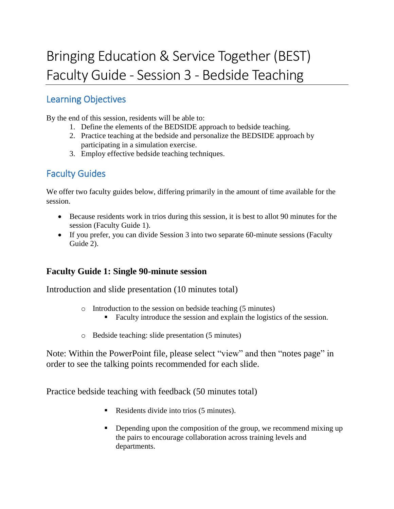# Bringing Education & Service Together (BEST) Faculty Guide - Session 3 - Bedside Teaching

# Learning Objectives

By the end of this session, residents will be able to:

- 1. Define the elements of the BEDSIDE approach to bedside teaching.
- 2. Practice teaching at the bedside and personalize the BEDSIDE approach by participating in a simulation exercise.
- 3. Employ effective bedside teaching techniques.

# Faculty Guides

We offer two faculty guides below, differing primarily in the amount of time available for the session.

- Because residents work in trios during this session, it is best to allot 90 minutes for the session (Faculty Guide 1).
- If you prefer, you can divide Session 3 into two separate 60-minute sessions (Faculty Guide 2).

# **Faculty Guide 1: Single 90-minute session**

Introduction and slide presentation (10 minutes total)

- o Introduction to the session on bedside teaching (5 minutes)
	- Faculty introduce the session and explain the logistics of the session.
- o Bedside teaching: slide presentation (5 minutes)

Note: Within the PowerPoint file, please select "view" and then "notes page" in order to see the talking points recommended for each slide.

Practice bedside teaching with feedback (50 minutes total)

- Residents divide into trios (5 minutes).
- Depending upon the composition of the group, we recommend mixing up the pairs to encourage collaboration across training levels and departments.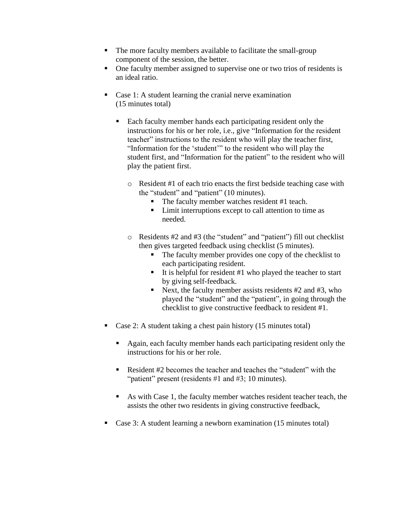- The more faculty members available to facilitate the small-group component of the session, the better.
- One faculty member assigned to supervise one or two trios of residents is an ideal ratio.
- Case 1: A student learning the cranial nerve examination (15 minutes total)
	- Each faculty member hands each participating resident only the instructions for his or her role, i.e., give "Information for the resident teacher" instructions to the resident who will play the teacher first, "Information for the 'student'" to the resident who will play the student first, and "Information for the patient" to the resident who will play the patient first.
		- o Resident #1 of each trio enacts the first bedside teaching case with the "student" and "patient" (10 minutes).
			- The faculty member watches resident #1 teach.
			- **EXECUTE:** Limit interruptions except to call attention to time as needed.
		- o Residents #2 and #3 (the "student" and "patient") fill out checklist then gives targeted feedback using checklist (5 minutes).
			- The faculty member provides one copy of the checklist to each participating resident.
			- It is helpful for resident  $#1$  who played the teacher to start by giving self-feedback.
			- Next, the faculty member assists residents  $#2$  and  $#3$ , who played the "student" and the "patient", in going through the checklist to give constructive feedback to resident #1.
- Case 2: A student taking a chest pain history  $(15 \text{ minutes total})$ 
	- Again, each faculty member hands each participating resident only the instructions for his or her role.
	- Resident #2 becomes the teacher and teaches the "student" with the "patient" present (residents #1 and #3; 10 minutes).
	- As with Case 1, the faculty member watches resident teacher teach, the assists the other two residents in giving constructive feedback,
- Case 3: A student learning a newborn examination (15 minutes total)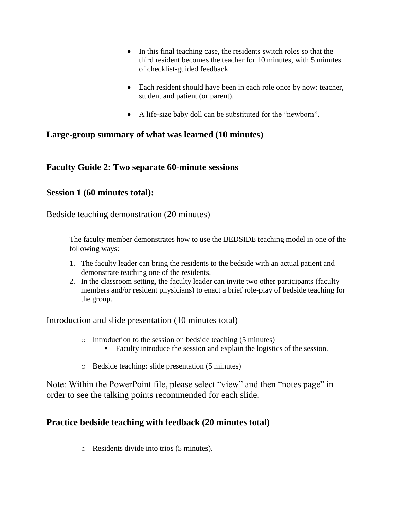- In this final teaching case, the residents switch roles so that the third resident becomes the teacher for 10 minutes, with 5 minutes of checklist-guided feedback.
- Each resident should have been in each role once by now: teacher, student and patient (or parent).
- A life-size baby doll can be substituted for the "newborn".

## **Large-group summary of what was learned (10 minutes)**

## **Faculty Guide 2: Two separate 60-minute sessions**

#### **Session 1 (60 minutes total):**

Bedside teaching demonstration (20 minutes)

The faculty member demonstrates how to use the BEDSIDE teaching model in one of the following ways:

- 1. The faculty leader can bring the residents to the bedside with an actual patient and demonstrate teaching one of the residents.
- 2. In the classroom setting, the faculty leader can invite two other participants (faculty members and/or resident physicians) to enact a brief role-play of bedside teaching for the group.

Introduction and slide presentation (10 minutes total)

- o Introduction to the session on bedside teaching (5 minutes)
	- Faculty introduce the session and explain the logistics of the session.
- o Bedside teaching: slide presentation (5 minutes)

Note: Within the PowerPoint file, please select "view" and then "notes page" in order to see the talking points recommended for each slide.

# **Practice bedside teaching with feedback (20 minutes total)**

o Residents divide into trios (5 minutes).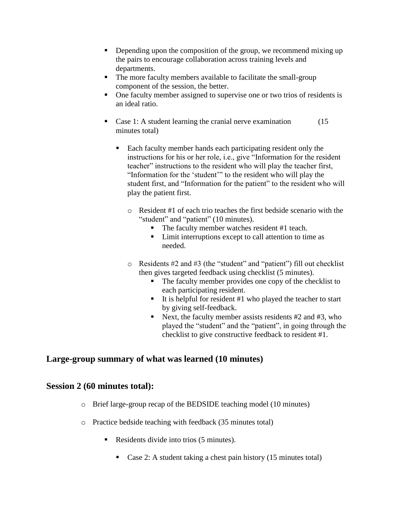- Depending upon the composition of the group, we recommend mixing up the pairs to encourage collaboration across training levels and departments.
- The more faculty members available to facilitate the small-group component of the session, the better.
- One faculty member assigned to supervise one or two trios of residents is an ideal ratio.
- Case 1: A student learning the cranial nerve examination (15) minutes total)
	- Each faculty member hands each participating resident only the instructions for his or her role, i.e., give "Information for the resident teacher" instructions to the resident who will play the teacher first, "Information for the 'student'" to the resident who will play the student first, and "Information for the patient" to the resident who will play the patient first.
		- o Resident #1 of each trio teaches the first bedside scenario with the "student" and "patient" (10 minutes).
			- The faculty member watches resident #1 teach.
			- Limit interruptions except to call attention to time as needed.
		- o Residents #2 and #3 (the "student" and "patient") fill out checklist then gives targeted feedback using checklist (5 minutes).
			- The faculty member provides one copy of the checklist to each participating resident.
			- It is helpful for resident  $#1$  who played the teacher to start by giving self-feedback.
			- Next, the faculty member assists residents  $#2$  and  $#3$ , who played the "student" and the "patient", in going through the checklist to give constructive feedback to resident #1.

# **Large-group summary of what was learned (10 minutes)**

#### **Session 2 (60 minutes total):**

- o Brief large-group recap of the BEDSIDE teaching model (10 minutes)
- o Practice bedside teaching with feedback (35 minutes total)
	- Residents divide into trios (5 minutes).
		- Case 2: A student taking a chest pain history  $(15 \text{ minutes total})$